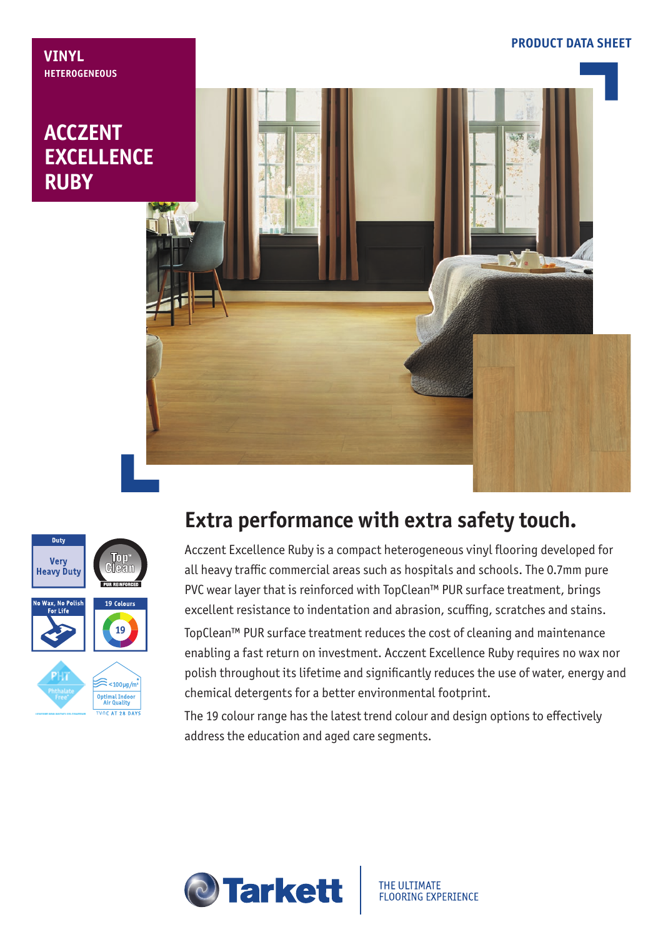## **ACCZENT EXCELLENCE RUBY**

**VINYL**

**HETEROGENEOUS**





## **Extra performance with extra safety touch.**

Acczent Excellence Ruby is a compact heterogeneous vinyl flooring developed for all heavy traffic commercial areas such as hospitals and schools. The 0.7mm pure PVC wear layer that is reinforced with TopClean™ PUR surface treatment, brings excellent resistance to indentation and abrasion, scuffing, scratches and stains. TopClean™ PUR surface treatment reduces the cost of cleaning and maintenance enabling a fast return on investment. Acczent Excellence Ruby requires no wax nor polish throughout its lifetime and significantly reduces the use of water, energy and

The 19 colour range has the latest trend colour and design options to effectively address the education and aged care segments.

chemical detergents for a better environmental footprint.